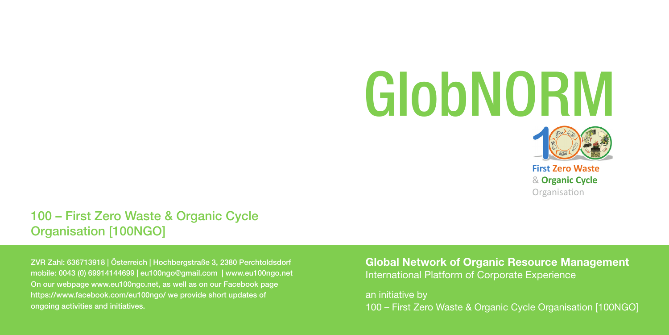# GlobNORM



**First Zero Waste** & **Organic Cycle** Organisation

### 100 – First Zero Waste & Organic Cycle Organisation [100NGO]

ZVR Zahl: 636713918 | Österreich | Hochbergstraße 3, 2380 Perchtoldsdorf mobile: 0043 (0) 69914144699 | eu100ngo@gmail.com | www.eu100ngo.net On our webpage www.eu100ngo.net, as well as on our Facebook page https://www.facebook.com/eu100ngo/ we provide short updates of ongoing activities and initiatives.

Global Network of Organic Resource Management International Platform of Corporate Experience

an initiative by 100 – First Zero Waste & Organic Cycle Organisation [100NGO]